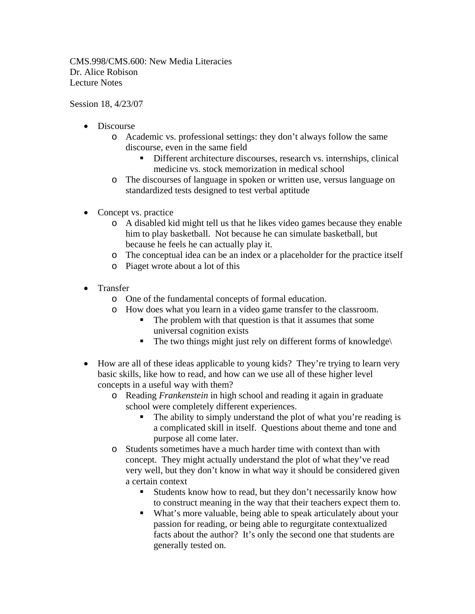CMS.998/CMS.600: New Media Literacies Dr. Alice Robison Lecture Notes

Session 18, 4/23/07

- Discourse
	- o Academic vs. professional settings: they don't always follow the same discourse, even in the same field
		- Different architecture discourses, research vs. internships, clinical medicine vs. stock memorization in medical school
	- o The discourses of language in spoken or written use, versus language on standardized tests designed to test verbal aptitude
- Concept vs. practice
	- o A disabled kid might tell us that he likes video games because they enable him to play basketball. Not because he can simulate basketball, but because he feels he can actually play it.
	- o The conceptual idea can be an index or a placeholder for the practice itself
	- o Piaget wrote about a lot of this
- Transfer
	- o One of the fundamental concepts of formal education.
	- o How does what you learn in a video game transfer to the classroom.
		- The problem with that question is that it assumes that some universal cognition exists
		- $\blacksquare$  The two things might just rely on different forms of knowledge $\blacksquare$
- How are all of these ideas applicable to young kids? They're trying to learn very basic skills, like how to read, and how can we use all of these higher level concepts in a useful way with them?
	- o Reading *Frankenstein* in high school and reading it again in graduate school were completely different experiences.
		- The ability to simply understand the plot of what you're reading is a complicated skill in itself. Questions about theme and tone and purpose all come later.
	- o Students sometimes have a much harder time with context than with concept. They might actually understand the plot of what they've read very well, but they don't know in what way it should be considered given a certain context
		- Students know how to read, but they don't necessarily know how to construct meaning in the way that their teachers expect them to.
		- What's more valuable, being able to speak articulately about your passion for reading, or being able to regurgitate contextualized facts about the author? It's only the second one that students are generally tested on.